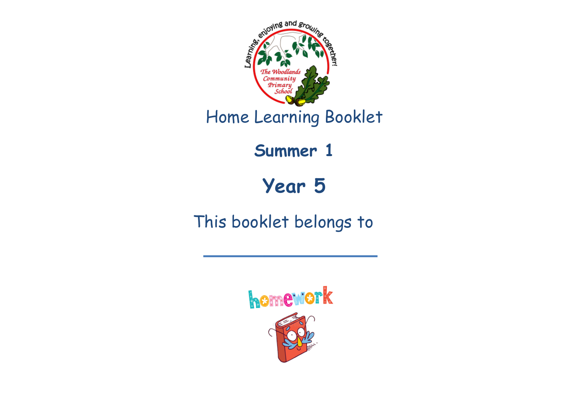

Home Learning Booklet

**Summer 1**

**Year 5**

This booklet belongs to

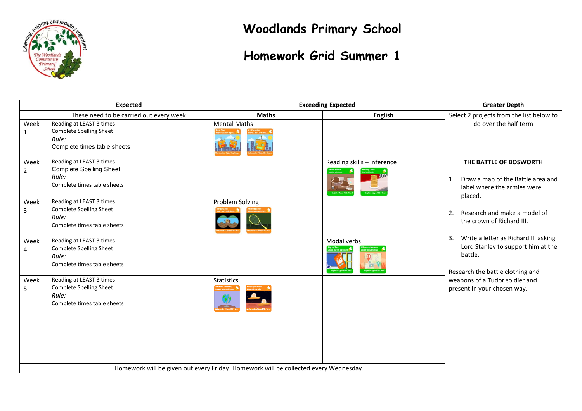

**Woodlands Primary School**

### **Homework Grid Summer 1**

|                        | <b>Expected</b>                                                                                    |                                                                                      | <b>Exceeding Expected</b>  | <b>Greater Depth</b>                                                                                                            |  |
|------------------------|----------------------------------------------------------------------------------------------------|--------------------------------------------------------------------------------------|----------------------------|---------------------------------------------------------------------------------------------------------------------------------|--|
|                        | These need to be carried out every week                                                            | <b>Maths</b>                                                                         | <b>English</b>             | Select 2 projects from the list below to                                                                                        |  |
| Week<br>$\mathbf{1}$   | Reading at LEAST 3 times<br>Complete Spelling Sheet<br>Rule:<br>Complete times table sheets        | <b>Mental Maths</b>                                                                  |                            | do over the half term                                                                                                           |  |
| Week<br>$\overline{2}$ | Reading at LEAST 3 times<br><b>Complete Spelling Sheet</b><br>Rule:<br>Complete times table sheets |                                                                                      | Reading skills - inference | THE BATTLE OF BOSWORTH<br>Draw a map of the Battle area and<br>1.<br>label where the armies were<br>placed.                     |  |
| Week<br>3              | Reading at LEAST 3 times<br><b>Complete Spelling Sheet</b><br>Rule:<br>Complete times table sheets | Problem Solving                                                                      |                            | Research and make a model of<br>2.<br>the crown of Richard III.                                                                 |  |
| Week<br>4              | Reading at LEAST 3 times<br><b>Complete Spelling Sheet</b><br>Rule:<br>Complete times table sheets |                                                                                      | Modal verbs                | Write a letter as Richard III asking<br>3.<br>Lord Stanley to support him at the<br>battle.<br>Research the battle clothing and |  |
| Week<br>5              | Reading at LEAST 3 times<br>Complete Spelling Sheet<br>Rule:<br>Complete times table sheets        | <b>Statistics</b>                                                                    |                            | weapons of a Tudor soldier and<br>present in your chosen way.                                                                   |  |
|                        |                                                                                                    | Homework will be given out every Friday. Homework will be collected every Wednesday. |                            |                                                                                                                                 |  |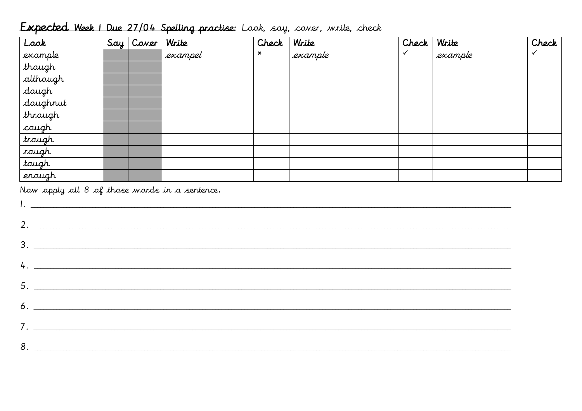### Expected Week 1 Due 27/04 Spelling practise: Look, say, cover, write, check

| Look          | Say   Cover | Write   | Check | Write   | Check   Write |         | Check |
|---------------|-------------|---------|-------|---------|---------------|---------|-------|
| example       |             | exampel | ×     | example |               | example |       |
| though        |             |         |       |         |               |         |       |
| although      |             |         |       |         |               |         |       |
| dough         |             |         |       |         |               |         |       |
| doughrut      |             |         |       |         |               |         |       |
| through       |             |         |       |         |               |         |       |
| cough         |             |         |       |         |               |         |       |
| trough        |             |         |       |         |               |         |       |
| <i>roug</i> h |             |         |       |         |               |         |       |
| tough         |             |         |       |         |               |         |       |
| enough        |             |         |       |         |               |         |       |

Now apply all 8 of those words in a sentence.

| 3. |
|----|
| 4. |
|    |
|    |
|    |
|    |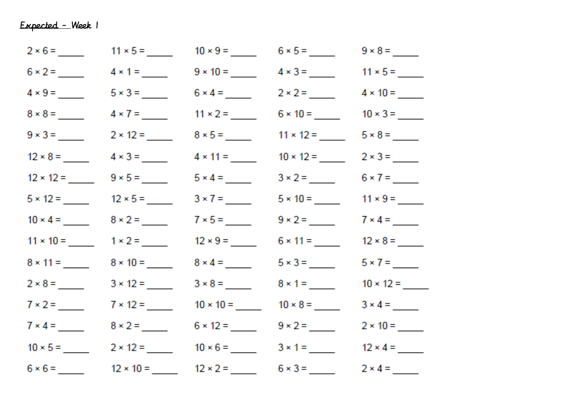|                 |                                                 | $9 \times 10 =$                                 |                                                   |  |
|-----------------|-------------------------------------------------|-------------------------------------------------|---------------------------------------------------|--|
|                 |                                                 |                                                 | $6 \times 4 =$ 2 × 2 = 4 × 10 = ____              |  |
| $8 \times 8 =$  | $4 \times 7 =$                                  |                                                 |                                                   |  |
|                 |                                                 |                                                 | $8 \times 5 =$ 11 × 12 = _____                    |  |
| $12 \times 8 =$ |                                                 | $4 \times 11 =$                                 | $10 \times 12 =$                                  |  |
|                 |                                                 |                                                 |                                                   |  |
|                 | $5 \times 12 =$ $12 \times 5 =$ $12 \times 5 =$ | $3 \times 7 =$                                  |                                                   |  |
| $10 \times 4 =$ |                                                 | $7 \times 5 =$                                  |                                                   |  |
|                 | $11 \times 10 =$ $1 \times 2 =$ $1$             |                                                 |                                                   |  |
|                 |                                                 | $8 \times 4 =$                                  |                                                   |  |
|                 |                                                 | $3 \times 8 =$                                  |                                                   |  |
|                 |                                                 |                                                 | $10 \times 10 =$ $10 \times 8 =$ $10 \times 10 =$ |  |
| $7 \times 4 =$  | $8 \times 2 =$                                  |                                                 |                                                   |  |
|                 |                                                 | $10 \times 5 =$ 2 × 12 = 10 × 6 = 3 × 1 = _     |                                                   |  |
|                 |                                                 | $12 \times 10 =$ $12 \times 2 =$ $6 \times 3 =$ |                                                   |  |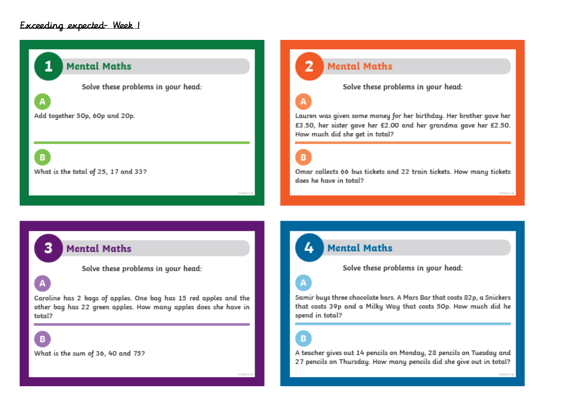#### Exceeding expected- Week 1

### **Mental Maths**

Solve these problems in your head:

Add together 50p, 60p and 20p.

What is the total of 25, 17 and 33?

**Mental Maths** 

Solve these problems in your head:

Lauren was given some money for her birthday. Her brother gave her £3.50, her sister gave her £2.00 and her grandma gave her £2.50. How much did she get in total?

B

Omar collects 66 bus tickets and 22 train tickets. How many tickets does he have in total?

#### **Mental Maths**

Solve these problems in your head:

Caroline has 2 bags of apples. One bag has 15 red apples and the other bag has 22 green apples. How many apples does she have in total?

B

B

What is the sum of 36, 40 and 75?

**Mental Maths** 

Solve these problems in your head:

Samir buys three chocolate bars. A Mars Bar that costs 82p, a Snickers that costs 39p and a Milky Way that costs 50p. How much did he spend in total?

B

A teacher gives out 14 pencils on Monday, 28 pencils on Tuesday and 27 pencils on Thursday. How many pencils did she give out in total?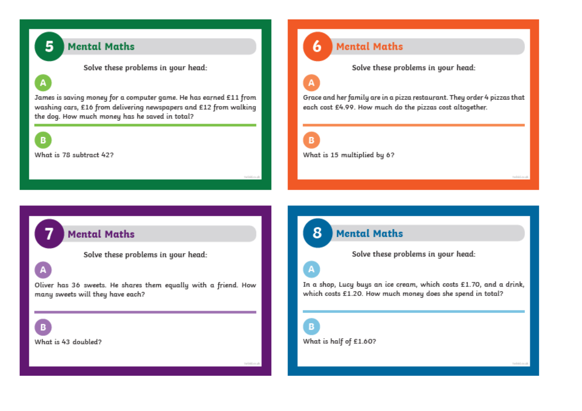### **Mental Maths**

Solve these problems in your head:

James is saving money for a computer game. He has earned £11 from washing cars, £16 from delivering newspapers and £12 from walking the dog. How much money has he saved in total?

B

A

5

What is 78 subtract 422

#### **Mental Maths**

Solve these problems in your head:

### A

6

Grace and her family are in a pizza restaurant. They order 4 pizzas that each cost £4.99. How much do the pizzas cost altogether.

R

8

What is 15 multiplied by 6?

### **Mental Maths**

Solve these problems in your head:

Oliver has 36 sweets. He shares them equally with a friend. How many sweets will they have each?

What is 43 doubled?

R

**Mental Maths** 

Solve these problems in your head:

In a shop, Lucy buys an ice cream, which costs £1.70, and a drink, which costs £1.20. How much money does she spend in total?

What is half of £1.60?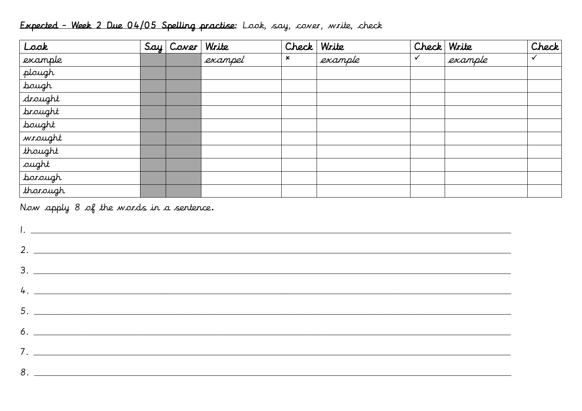### Expected - Week 2 Due 04/05 Spelling practise: Look, say, cover, write, check

| Look           | Say Cover | Write   | Check | Write   | Check Write |         | Check |
|----------------|-----------|---------|-------|---------|-------------|---------|-------|
| example        |           | exampel | ×     | example |             | example | ✓     |
| plough         |           |         |       |         |             |         |       |
| bough          |           |         |       |         |             |         |       |
| drought        |           |         |       |         |             |         |       |
| <i>brought</i> |           |         |       |         |             |         |       |
| bought         |           |         |       |         |             |         |       |
| wrought        |           |         |       |         |             |         |       |
| thought        |           |         |       |         |             |         |       |
| aught          |           |         |       |         |             |         |       |
| borough        |           |         |       |         |             |         |       |
| thorough       |           |         |       |         |             |         |       |

Now apply 8 of the words in a sentence.

| $3.$ $\overline{\phantom{a}}$ |
|-------------------------------|
| $4.$ $\overline{\phantom{a}}$ |
|                               |
| $6.$ $\overline{\phantom{a}}$ |
|                               |
|                               |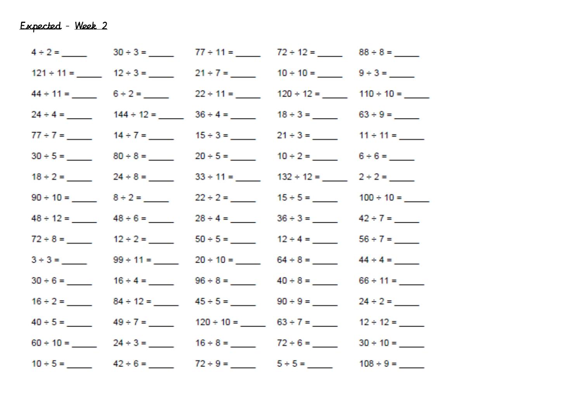|  | $121 \div 11 =$ $12 \div 3 =$ $21 \div 7 =$ $10 \div 10 =$ $9 \div 3 =$  |  |
|--|--------------------------------------------------------------------------|--|
|  | $44 \div 11 =$ 6 ÷ 2 = 22 ÷ 11 = 120 ÷ 12 = 110 ÷ 10 = 1                 |  |
|  | $24 \div 4 =$ $144 \div 12 =$ $36 \div 4 =$ $18 \div 3 =$ $63 \div 9 =$  |  |
|  | $77 \div 7 =$ $14 \div 7 =$ $15 \div 3 =$ $21 \div 3 =$ $11 \div 11 =$   |  |
|  | $30 \div 5 =$ 80 ÷ 8 = 20 ÷ 5 = 10 ÷ 2 = 6 ÷ 6 = ___                     |  |
|  | $18 \div 2 =$ 24 $\div 8 =$ 33 $\div 11 =$ $132 \div 12 =$ $2 \div 2 =$  |  |
|  |                                                                          |  |
|  | $48 \div 12 =$ $48 \div 6 =$ $28 \div 4 =$ $36 \div 3 =$ $42 \div 7 =$   |  |
|  | $72 \div 8 =$ $12 \div 2 =$ $50 \div 5 =$ $12 \div 4 =$ $56 \div 7 =$    |  |
|  | $3 \div 3 =$ 99 ÷ 11 = 20 ÷ 10 = 64 ÷ 8 = 44 ÷ 4 = 5                     |  |
|  | $30 \div 6 =$ $16 \div 4 =$ $86 \div 8 =$ $40 \div 8 =$ $66 \div 11 =$   |  |
|  | $16 \div 2 =$ 84 ÷ 12 = 45 ÷ 5 = 90 ÷ 9 = 24 ÷ 2 = _                     |  |
|  | $40 \div 5 =$ 49 ÷ 7 = 120 ÷ 10 = 63 ÷ 7 = 12 ÷ 12 = 12 = 12 = 13        |  |
|  | $60 \div 10 =$ 24 ÷ 3 = 16 ÷ 8 = 72 ÷ 6 = 30 ÷ 10 = 1                    |  |
|  | $10 \div 5 =$ 42 ÷ 6 = 72 ÷ 9 = 6 = $5 \div 5 =$ 108 ÷ 9 = $\frac{1}{2}$ |  |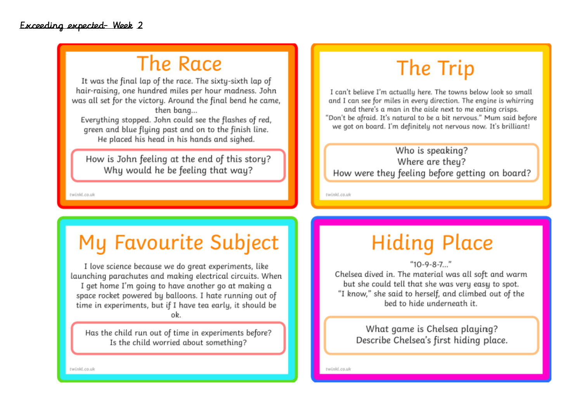### The Race

It was the final lap of the race. The sixty-sixth lap of hair-raising, one hundred miles per hour madness. John was all set for the victory. Around the final bend he came, then bang...

Everything stopped. John could see the flashes of red, green and blue flying past and on to the finish line. He placed his head in his hands and sighed.

How is John feeling at the end of this story? Why would he be feeling that way?

twinkl.co.uk

### My Favourite Subject

I love science because we do great experiments, like launching parachutes and making electrical circuits. When I get home I'm going to have another go at making a space rocket powered by balloons. I hate running out of time in experiments, but if I have tea early, it should be ob

Has the child run out of time in experiments before? Is the child worried about something?

# The Trip

I can't believe I'm actually here. The towns below look so small and I can see for miles in every direction. The engine is whirring and there's a man in the aisle next to me eating crisps. "Don't be afraid. It's natural to be a bit nervous." Mum said before we got on board. I'm definitely not nervous now. It's brilliant!

#### Who is speaking? Where are they? How were they feeling before getting on board?

twinkl.co.uk

### **Hiding Place**

 $"10-9-8-7..."$ 

Chelsea dived in. The material was all soft and warm but she could tell that she was very easy to spot. "I know," she said to herself, and climbed out of the hed to hide underneath it.

> What game is Chelsea playing? Describe Chelsea's first hiding place.

twinkl.co.uk

twinkl.co.uk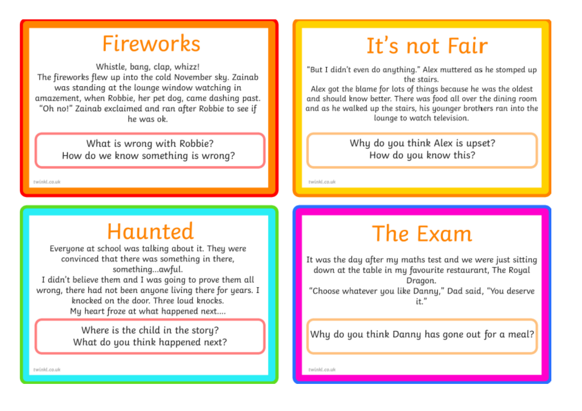### **Fireworks**

Whistle, bang, clap, whizz! The fireworks flew up into the cold November sky. Zainab was standing at the lounge window watching in amazement, when Robbie, her pet dog, came dashing past. "Oh no!" Zainab exclaimed and ran after Robbie to see if he was ok

> What is wrong with Robbie? How do we know something is wrong?

twinkl.co.uk

# Haunted

Everyone at school was talking about it. They were convinced that there was something in there, something...awful. I didn't believe them and I was going to prove them all wrong, there had not been anyone living there for years. I knocked on the door. Three loud knocks.

My heart froze at what happened next....

Where is the child in the story? What do you think happened next?

# It's not Fair

"But I didn't even do anything." Alex muttered as he stomped up the stairs.

Alex got the blame for lots of things because he was the oldest and should know better. There was food all over the dining room and as he walked up the stairs, his younger brothers ran into the lounge to watch television.

> Why do you think Alex is upset? How do you know this?

twinkl.co.uk

# The Exam

It was the day after my maths test and we were just sitting down at the table in my favourite restaurant, The Royal Dragon. "Choose whatever you like Danny," Dad said, "You deserve it."

Why do you think Danny has gone out for a meal?

twinkl.co.uk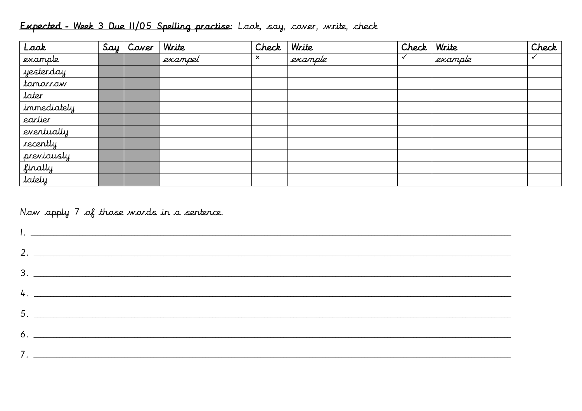| Look                  | $Say \mid Cover$ | Write   | Check | Write   | Check | Write   | Check |
|-----------------------|------------------|---------|-------|---------|-------|---------|-------|
| example               |                  | exampel | ×     | example |       | example | ✓     |
| yesterday             |                  |         |       |         |       |         |       |
| tomorrow              |                  |         |       |         |       |         |       |
| later                 |                  |         |       |         |       |         |       |
| immediately           |                  |         |       |         |       |         |       |
| earlier               |                  |         |       |         |       |         |       |
| eventually            |                  |         |       |         |       |         |       |
| recently              |                  |         |       |         |       |         |       |
|                       |                  |         |       |         |       |         |       |
| previously<br>finally |                  |         |       |         |       |         |       |
| lately                |                  |         |       |         |       |         |       |

### Expected - Week 3 Due 11/05 Spelling practise: Look, say, cover, write, check

Now apply 7 of those words in a sentence.

| 4.                                                                                                                                                                                                                                  |
|-------------------------------------------------------------------------------------------------------------------------------------------------------------------------------------------------------------------------------------|
|                                                                                                                                                                                                                                     |
| $\delta$ . $\Box$ . The contract of the contract of the contract of the contract of the contract of the contract of the contract of the contract of the contract of the contract of the contract of the contract of the contract of |
|                                                                                                                                                                                                                                     |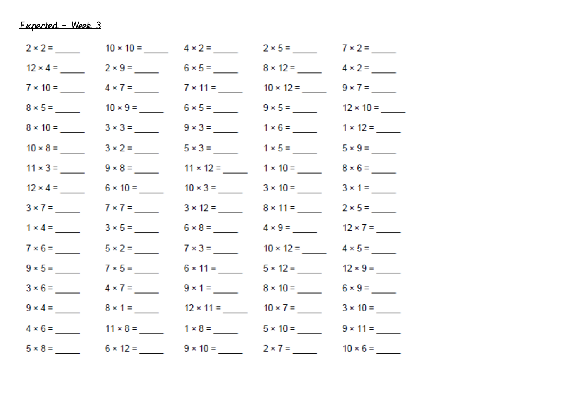|                 |                                              | $10 \times 10 =$ $4 \times 2 =$ $10$                                           | $2 \times 5 =$ $7 \times 2 =$ $2 \times 5 =$                                                                                                                                                                                        |                               |
|-----------------|----------------------------------------------|--------------------------------------------------------------------------------|-------------------------------------------------------------------------------------------------------------------------------------------------------------------------------------------------------------------------------------|-------------------------------|
|                 |                                              | $12 \times 4 =$ 2 × 9 = 6 × 5 = ____                                           | $8 \times 12 =$ $4 \times 2 =$ $12 =$                                                                                                                                                                                               |                               |
|                 |                                              | $7 \times 10 =$ $4 \times 7 =$ $7 \times 11 =$ $10 \times 12 =$ $9 \times 7 =$ |                                                                                                                                                                                                                                     |                               |
|                 | $8 \times 5 =$ 10 × 9 = _____                |                                                                                |                                                                                                                                                                                                                                     | $9 \times 5 =$ 12 × 10 = ____ |
|                 | $8 \times 10 =$ $3 \times 3 =$ $10$          |                                                                                | $9 \times 3 =$ $1 \times 6 =$ $1 \times 12 =$                                                                                                                                                                                       |                               |
| $10 \times 8 =$ |                                              | $5 \times 3 =$                                                                 |                                                                                                                                                                                                                                     |                               |
|                 |                                              |                                                                                |                                                                                                                                                                                                                                     |                               |
|                 | $12 \times 4 =$ 6 $\times$ 10 = _____        | $10 \times 3 =$                                                                |                                                                                                                                                                                                                                     |                               |
| $3 \times 7 =$  | $7 \times 7 =$                               | $3 \times 12 =$                                                                |                                                                                                                                                                                                                                     |                               |
|                 | $1 \times 4 =$ $3 \times 5 =$ $2 \times 5 =$ |                                                                                | $6 \times 8 =$ 4 × 9 = 12 × 7 = 12 × 7 = 12 × 7 = 12 × 7 = 12 × 7 = 12 × 7 = 12 × 7 = 12 × 7 = 12 × 7 = 12 × 7 = 12 × 7 = 12 × 7 = 12 × 7 = 12 × 7 = 12 × 7 = 12 × 7 = 12 × 7 = 12 × 7 = 12 × 7 = 12 × 7 = 12 × 7 = 12 × 7 = 12 × 7 |                               |
|                 |                                              |                                                                                | $7 \times 3 =$ 10 × 12 = 4 × 5 = ____                                                                                                                                                                                               |                               |
|                 | $7 \times 5 =$                               |                                                                                | $5 \times 12 =$                                                                                                                                                                                                                     |                               |
|                 | $3 \times 6 =$ $4 \times 7 =$                |                                                                                | $9 \times 1 =$ 8 × 10 = 6 × 9 = ____                                                                                                                                                                                                |                               |
|                 |                                              | $9 \times 4 =$ 8 $\times 1 =$ 12 $\times 11 =$ 10 $\times 7 =$ 3 $\times 10 =$ |                                                                                                                                                                                                                                     |                               |
|                 |                                              | $4 \times 6 =$ 11 × 8 = 1 × 8 = 1 × 8 = 5 × 10 = 9 × 11 = 1                    |                                                                                                                                                                                                                                     |                               |
|                 |                                              | $5 \times 8 =$ 6 × 12 = 9 × 10 = 2 × 7 = 10 × 6 = _                            |                                                                                                                                                                                                                                     |                               |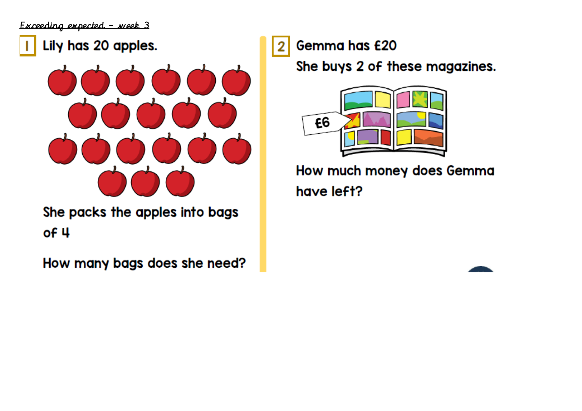### Lily has 20 apples.



She packs the apples into bags  $of 4$ 

How many bags does she need?

Gemma has £20 2

She buys 2 of these magazines.



How much money does Gemma have left?

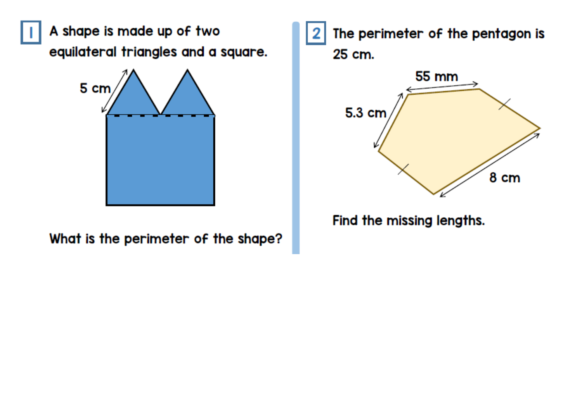A shape is made up of two equilateral triangles and a square.



What is the perimeter of the shape?

The perimeter of the pentagon is 25 cm. 55 mm 5.3 cm 8 cm

Find the missing lengths.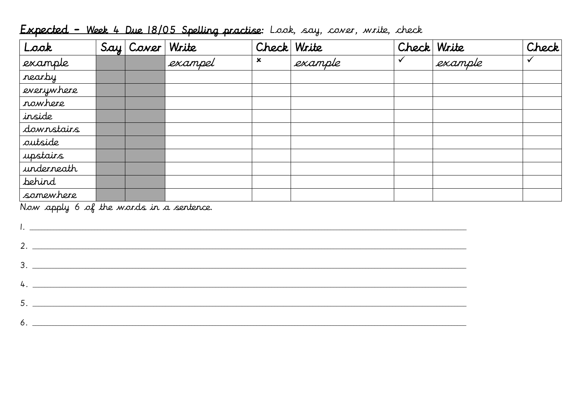| Look                                                                                                            |  | Say Cover Write |         | Check Write               |         | Check Write  |         | Check        |
|-----------------------------------------------------------------------------------------------------------------|--|-----------------|---------|---------------------------|---------|--------------|---------|--------------|
| example                                                                                                         |  |                 | exampel | $\boldsymbol{\mathsf{x}}$ | example | $\checkmark$ | example | $\checkmark$ |
| nearby                                                                                                          |  |                 |         |                           |         |              |         |              |
| everywhere                                                                                                      |  |                 |         |                           |         |              |         |              |
| rowhere                                                                                                         |  |                 |         |                           |         |              |         |              |
| inside                                                                                                          |  |                 |         |                           |         |              |         |              |
| downstairs                                                                                                      |  |                 |         |                           |         |              |         |              |
| autside                                                                                                         |  |                 |         |                           |         |              |         |              |
| upstairs                                                                                                        |  |                 |         |                           |         |              |         |              |
| underneath                                                                                                      |  |                 |         |                           |         |              |         |              |
| <b>behind</b>                                                                                                   |  |                 |         |                           |         |              |         |              |
| somewhere                                                                                                       |  |                 |         |                           |         |              |         |              |
| Now apply 6 of the words in a sentence.                                                                         |  |                 |         |                           |         |              |         |              |
| $\begin{tabular}{ c c c } \hline \quad \quad & \quad \quad & \quad \quad & \quad \quad \\ \hline \end{tabular}$ |  |                 |         |                           |         |              |         |              |
| $2.$ $\overline{\phantom{a}}$                                                                                   |  |                 |         |                           |         |              |         |              |
|                                                                                                                 |  |                 |         |                           |         |              |         |              |
| 4.                                                                                                              |  |                 |         |                           |         |              |         |              |
| 5.                                                                                                              |  |                 |         |                           |         |              |         |              |
| 6.                                                                                                              |  |                 |         |                           |         |              |         |              |

### Expected - Week 4 Due 18/05 Spelling practise: Look, say, cover, write, check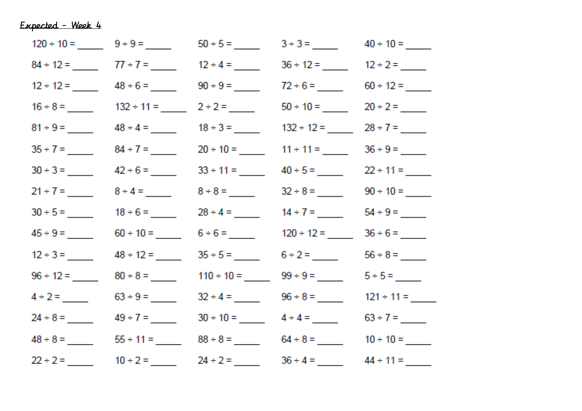|  | $120 \div 10 =$ 9 ÷ 9 = 50 ÷ 5 = 3 ÷ 3 = 40 ÷ 10 = 5                            |  |
|--|---------------------------------------------------------------------------------|--|
|  | $84 \div 12 =$ 77 ÷ 7 = 12 ÷ 4 = 36 ÷ 12 = 12 ÷ 2 = ___                         |  |
|  | $12 \div 12 =$ $48 \div 6 =$ $90 \div 9 =$ $72 \div 6 =$ $60 \div 12 =$         |  |
|  | $16 \div 8 =$ $132 \div 11 =$ $2 \div 2 =$ $50 \div 10 =$ $20 \div 2 =$         |  |
|  | $81 \div 9 =$ $48 \div 4 =$ $18 \div 3 =$ $132 \div 12 =$ $28 \div 7 =$         |  |
|  | $35 \div 7 =$ 84 ÷ 7 = 20 ÷ 10 = 11 ÷ 11 = 36 ÷ 9 = _                           |  |
|  | $30 \div 3 =$ 42 ÷ 6 = 33 ÷ 11 = 40 ÷ 5 = 22 ÷ 11 =                             |  |
|  | $21 \div 7 =$ 8 ÷ 4 = 8 ÷ 8 = 32 ÷ 8 = 90 ÷ 10 = 9                              |  |
|  | $30 \div 5 =$ 18 $\div 6 =$ 28 $\div 4 =$ 44 $\div 7 =$ 54 $\div 9 =$           |  |
|  | $45 \div 9 =$ 60 ÷ 10 = 6 ÷ 6 = 120 ÷ 12 = 36 ÷ 6 = 120 = 120 = $\frac{36}{12}$ |  |
|  | $12 \div 3 =$ $48 \div 12 =$ $35 \div 5 =$ $6 \div 2 =$ $56 \div 8 =$           |  |
|  | $96 \div 12 =$ 80 ÷ 8 = 110 ÷ 10 = 99 ÷ 9 = 5 ÷ 5 = 5                           |  |
|  | $4 \div 2 =$ 63 ÷ 9 = 32 ÷ 4 = 96 ÷ 8 = 121 ÷ 11 = 1                            |  |
|  | $24 \div 8 =$ 49÷7= 30÷10= 4÷4= 63÷7=                                           |  |
|  |                                                                                 |  |
|  | $22 \div 2 =$ 10 ÷ 2 = 24 ÷ 2 = 36 ÷ 4 = 44 ÷ 11 = ___                          |  |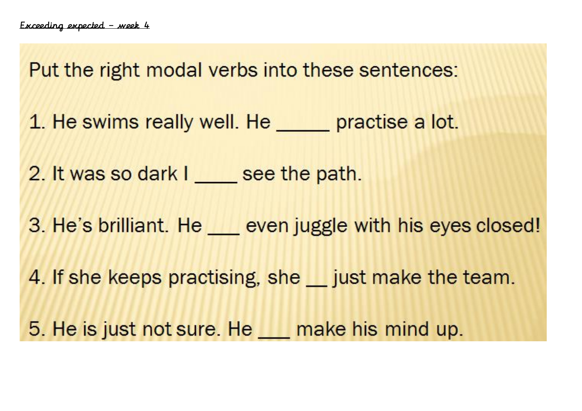Put the right modal verbs into these sentences: 1. He swims really well. He \_\_\_\_\_ practise a lot. 2. It was so dark I see the path. 3. He's brilliant. He <u>seven</u> juggle with his eyes closed! 4. If she keeps practising, she \_\_ just make the team. 5. He is just not sure. He make his mind up.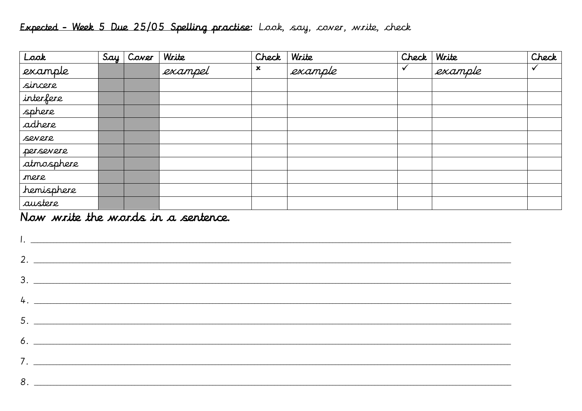### Expected - Week 5 Due 25/05 Spelling practise: Look, say, cover, write, check

| Look       | Say' | Coner | Write   | Check                     | Write   | Check | Write   | Check |
|------------|------|-------|---------|---------------------------|---------|-------|---------|-------|
| example    |      |       | exampel | $\boldsymbol{\mathsf{x}}$ | example |       | example |       |
| sincere    |      |       |         |                           |         |       |         |       |
| interfere  |      |       |         |                           |         |       |         |       |
| sphere     |      |       |         |                           |         |       |         |       |
| adhere     |      |       |         |                           |         |       |         |       |
| severe     |      |       |         |                           |         |       |         |       |
| persevere  |      |       |         |                           |         |       |         |       |
| atmosphere |      |       |         |                           |         |       |         |       |
| mere       |      |       |         |                           |         |       |         |       |
| hemisphere |      |       |         |                           |         |       |         |       |
| austere    |      |       |         |                           |         |       |         |       |

#### Now write the words in a sentence.

| $3.$ $\overline{\phantom{a}}$ |
|-------------------------------|
| $4.$ $\overline{\phantom{a}}$ |
|                               |
| $5.$ $\overline{\phantom{a}}$ |
|                               |
|                               |
| $8.$ $\overline{\phantom{a}}$ |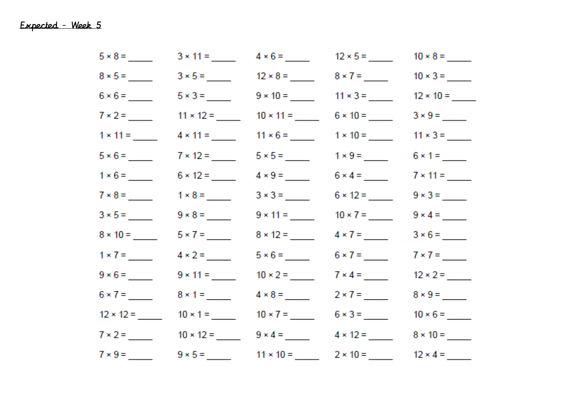| $5 \times 8 =$ |                  |                                                                 | $4 \times 6 =$ 12 $\times 5 =$ 12                       |                 |
|----------------|------------------|-----------------------------------------------------------------|---------------------------------------------------------|-----------------|
|                |                  |                                                                 | $3 \times 5 =$ 12 × 8 = 8 × 7 = _____                   |                 |
|                |                  |                                                                 | $5 \times 3 =$ 9 × 10 = 11 × 3 = 12 × 10 = 12 × 10 = 12 |                 |
|                | $11 \times 12 =$ |                                                                 |                                                         |                 |
|                |                  |                                                                 | $4 \times 11 =$ 11 × 6 = 11 × 6 = 1 × 10 = 1            |                 |
|                |                  |                                                                 |                                                         |                 |
|                | $6 \times 12 =$  |                                                                 |                                                         |                 |
| $7 \times 8 =$ |                  |                                                                 | $3 \times 3 =$ 6 × 12 = _____                           |                 |
|                |                  |                                                                 |                                                         |                 |
|                |                  |                                                                 |                                                         |                 |
|                |                  | $5 \times 6 =$                                                  |                                                         |                 |
|                |                  | $10 \times 2 =$                                                 |                                                         |                 |
|                | $8 \times 1 =$   | $4 \times 8 =$                                                  |                                                         |                 |
|                |                  | $12 \times 12 =$ $10 \times 1 =$ $10 \times 7 =$ $6 \times 3 =$ |                                                         |                 |
|                |                  | $7 \times 2 =$ 10 × 12 = 9 × 4 = _____                          |                                                         |                 |
| $7 \times 9 =$ |                  |                                                                 | $9 \times 5 =$ 11 × 10 = 2 × 10 = 2                     | $12 \times 4 =$ |